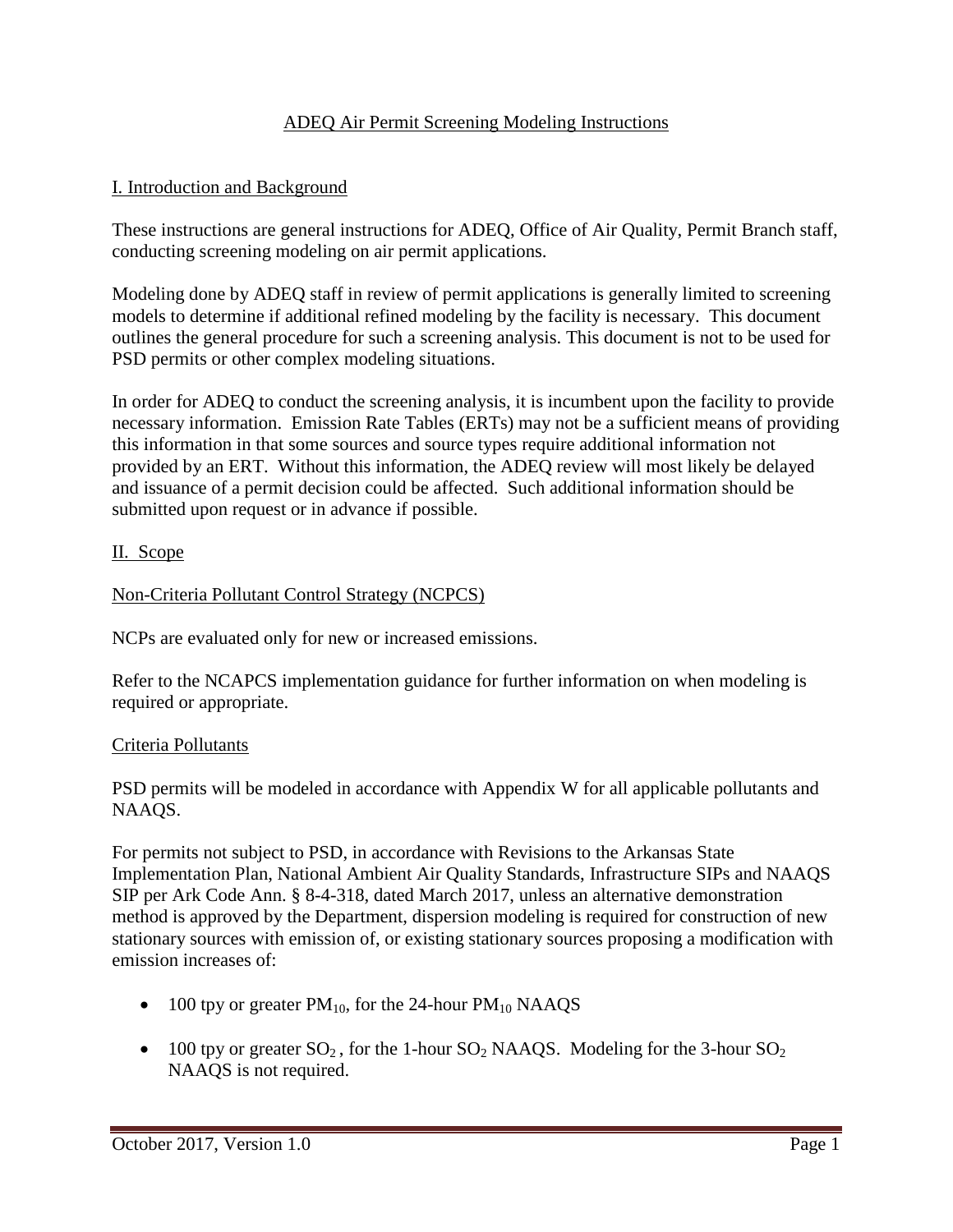#### ADEQ Air Permit Screening Modeling Instructions

### I. Introduction and Background

These instructions are general instructions for ADEQ, Office of Air Quality, Permit Branch staff, conducting screening modeling on air permit applications.

Modeling done by ADEQ staff in review of permit applications is generally limited to screening models to determine if additional refined modeling by the facility is necessary. This document outlines the general procedure for such a screening analysis. This document is not to be used for PSD permits or other complex modeling situations.

In order for ADEQ to conduct the screening analysis, it is incumbent upon the facility to provide necessary information. Emission Rate Tables (ERTs) may not be a sufficient means of providing this information in that some sources and source types require additional information not provided by an ERT. Without this information, the ADEQ review will most likely be delayed and issuance of a permit decision could be affected. Such additional information should be submitted upon request or in advance if possible.

#### II. Scope

## Non-Criteria Pollutant Control Strategy (NCPCS)

NCPs are evaluated only for new or increased emissions.

Refer to the NCAPCS implementation guidance for further information on when modeling is required or appropriate.

#### Criteria Pollutants

PSD permits will be modeled in accordance with Appendix W for all applicable pollutants and NAAQS.

For permits not subject to PSD, in accordance with Revisions to the Arkansas State Implementation Plan, National Ambient Air Quality Standards, Infrastructure SIPs and NAAQS SIP per Ark Code Ann. § 8-4-318, dated March 2017, unless an alternative demonstration method is approved by the Department, dispersion modeling is required for construction of new stationary sources with emission of, or existing stationary sources proposing a modification with emission increases of:

- 100 tpy or greater  $PM_{10}$ , for the 24-hour  $PM_{10}$  NAAQS
- 100 tpy or greater  $SO_2$ , for the 1-hour  $SO_2$  NAAQS. Modeling for the 3-hour  $SO_2$ NAAQS is not required.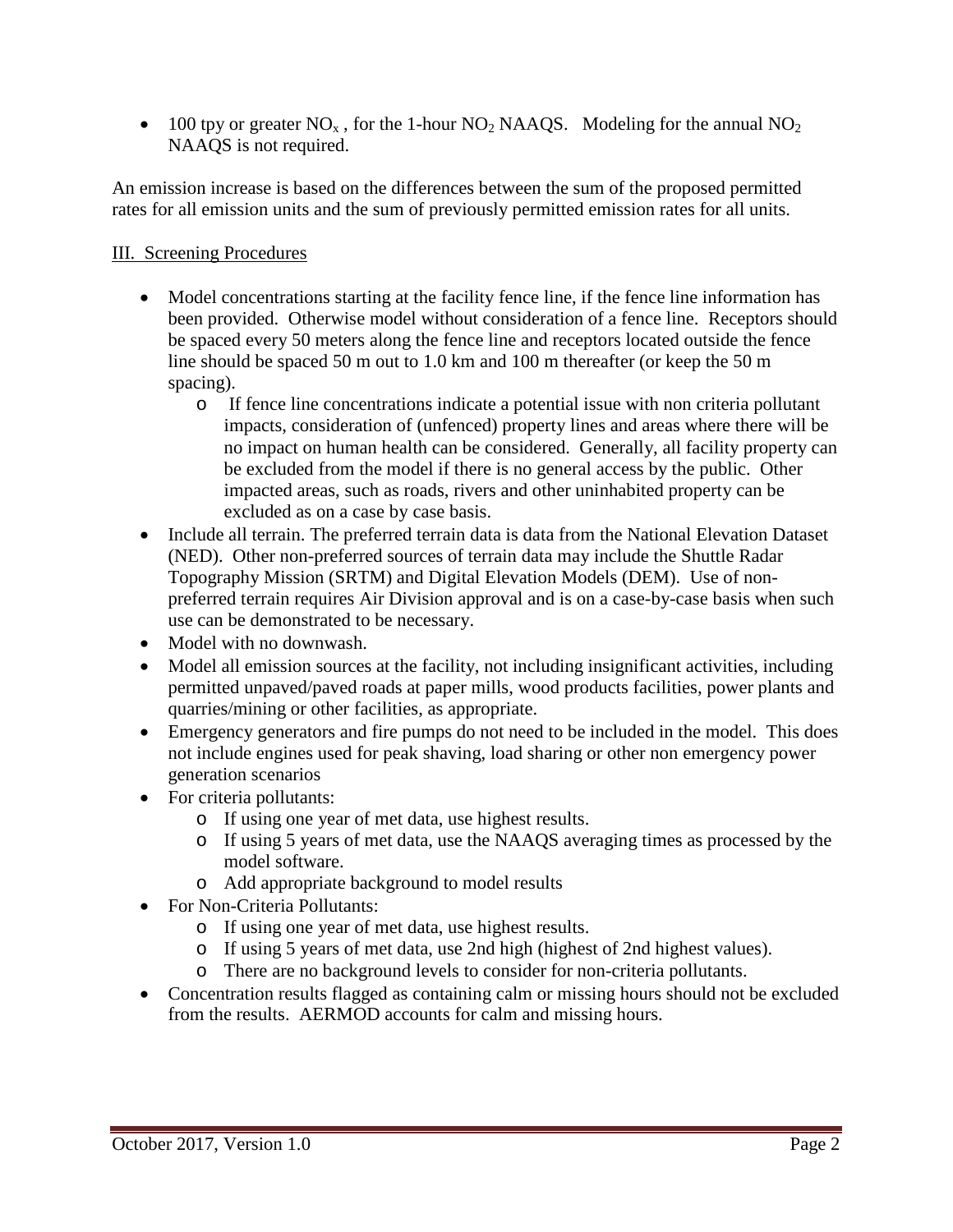• 100 tpy or greater  $NO_x$ , for the 1-hour  $NO_2$  NAAQS. Modeling for the annual  $NO_2$ NAAQS is not required.

An emission increase is based on the differences between the sum of the proposed permitted rates for all emission units and the sum of previously permitted emission rates for all units.

# III. Screening Procedures

- Model concentrations starting at the facility fence line, if the fence line information has been provided. Otherwise model without consideration of a fence line. Receptors should be spaced every 50 meters along the fence line and receptors located outside the fence line should be spaced 50 m out to 1.0 km and 100 m thereafter (or keep the 50 m spacing).
	- o If fence line concentrations indicate a potential issue with non criteria pollutant impacts, consideration of (unfenced) property lines and areas where there will be no impact on human health can be considered. Generally, all facility property can be excluded from the model if there is no general access by the public. Other impacted areas, such as roads, rivers and other uninhabited property can be excluded as on a case by case basis.
- Include all terrain. The preferred terrain data is data from the National Elevation Dataset (NED). Other non-preferred sources of terrain data may include the Shuttle Radar Topography Mission (SRTM) and Digital Elevation Models (DEM). Use of nonpreferred terrain requires Air Division approval and is on a case-by-case basis when such use can be demonstrated to be necessary.
- Model with no downwash.
- Model all emission sources at the facility, not including insignificant activities, including permitted unpaved/paved roads at paper mills, wood products facilities, power plants and quarries/mining or other facilities, as appropriate.
- Emergency generators and fire pumps do not need to be included in the model. This does not include engines used for peak shaving, load sharing or other non emergency power generation scenarios
- For criteria pollutants:
	- o If using one year of met data, use highest results.
	- o If using 5 years of met data, use the NAAQS averaging times as processed by the model software.
	- o Add appropriate background to model results
- For Non-Criteria Pollutants:
	- o If using one year of met data, use highest results.
	- o If using 5 years of met data, use 2nd high (highest of 2nd highest values).
	- o There are no background levels to consider for non-criteria pollutants.
- Concentration results flagged as containing calm or missing hours should not be excluded from the results. AERMOD accounts for calm and missing hours.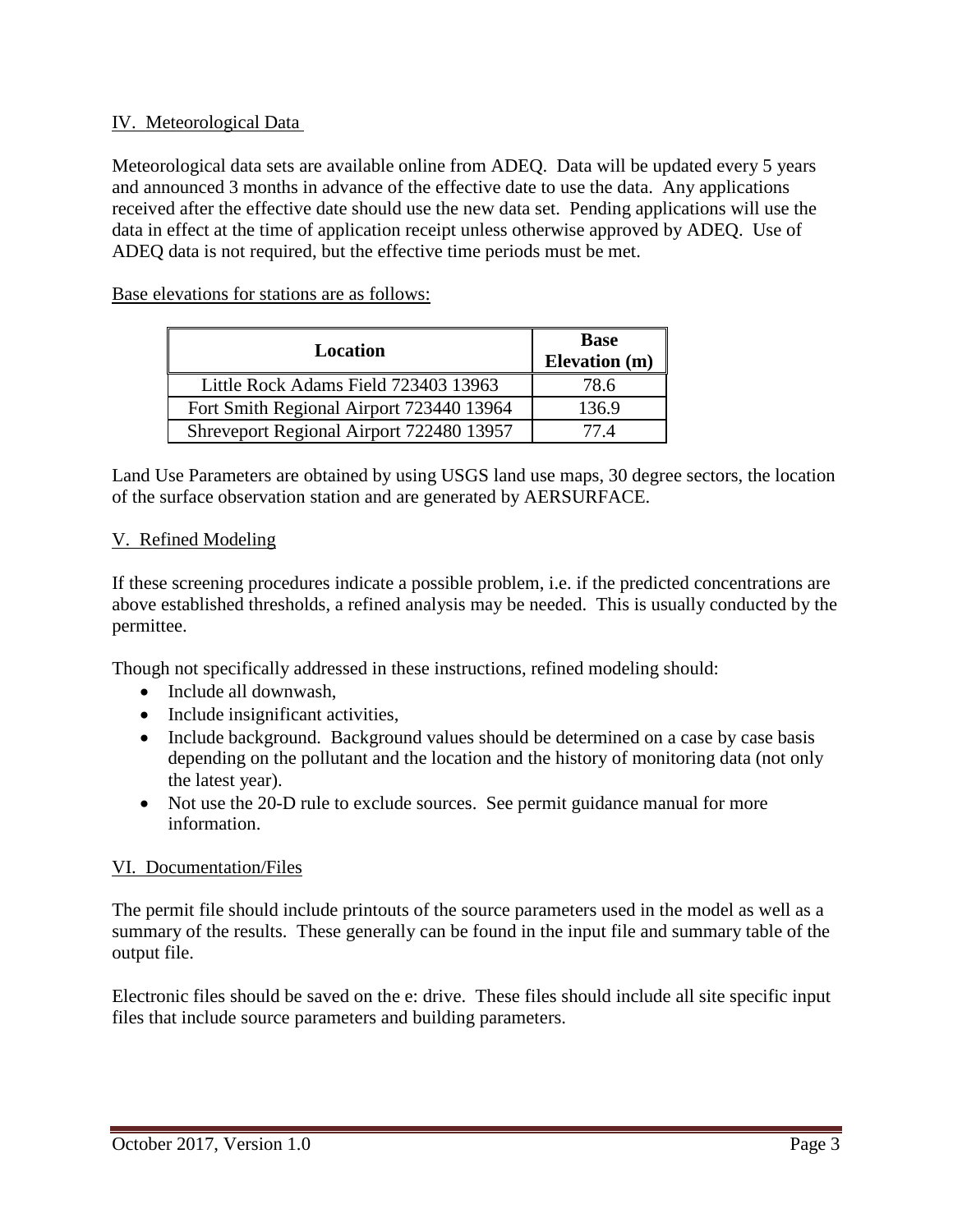#### IV. Meteorological Data

Meteorological data sets are available online from ADEQ. Data will be updated every 5 years and announced 3 months in advance of the effective date to use the data. Any applications received after the effective date should use the new data set. Pending applications will use the data in effect at the time of application receipt unless otherwise approved by ADEQ. Use of ADEQ data is not required, but the effective time periods must be met.

Base elevations for stations are as follows:

| Location                                 | <b>Base</b><br>Elevation (m) |
|------------------------------------------|------------------------------|
| Little Rock Adams Field 723403 13963     | 78.6                         |
| Fort Smith Regional Airport 723440 13964 | 136.9                        |
| Shreveport Regional Airport 722480 13957 | 77 4                         |

Land Use Parameters are obtained by using USGS land use maps, 30 degree sectors, the location of the surface observation station and are generated by AERSURFACE.

## V. Refined Modeling

If these screening procedures indicate a possible problem, i.e. if the predicted concentrations are above established thresholds, a refined analysis may be needed. This is usually conducted by the permittee.

Though not specifically addressed in these instructions, refined modeling should:

- Include all downwash,
- Include insignificant activities,
- Include background. Background values should be determined on a case by case basis depending on the pollutant and the location and the history of monitoring data (not only the latest year).
- Not use the 20-D rule to exclude sources. See permit guidance manual for more information.

#### VI. Documentation/Files

The permit file should include printouts of the source parameters used in the model as well as a summary of the results. These generally can be found in the input file and summary table of the output file.

Electronic files should be saved on the e: drive. These files should include all site specific input files that include source parameters and building parameters.